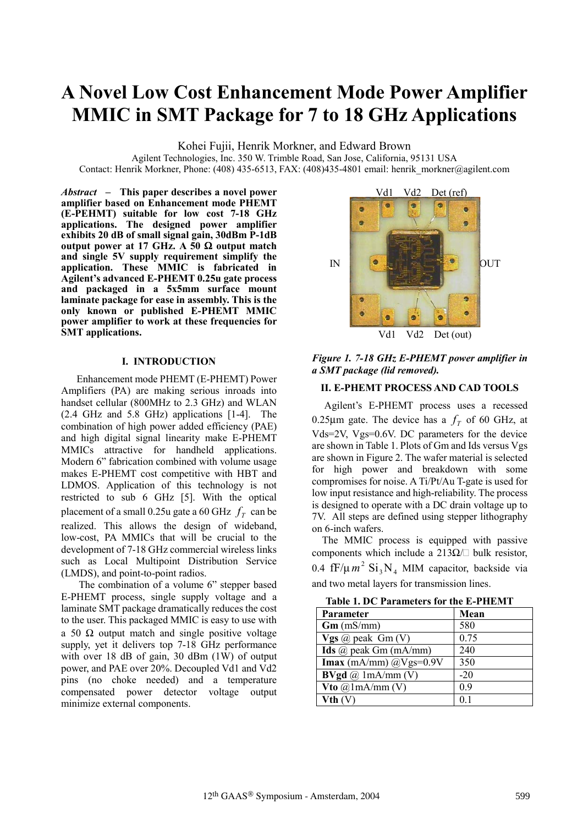# **A Novel Low Cost Enhancement Mode Power Amplifier MMIC in SMT Package for 7 to 18 GHz Applications**

Kohei Fujii, Henrik Morkner, and Edward Brown

Agilent Technologies, Inc. 350 W. Trimble Road, San Jose, California, 95131 USA Contact: Henrik Morkner, Phone: (408) 435-6513, FAX: (408) 435-4801 email: henrik\_morkner@agilent.com

*Abstract* **– This paper describes a novel power amplifier based on Enhancement mode PHEMT (E-PEHMT) suitable for low cost 7-18 GHz applications. The designed power amplifier exhibits 20 dB of small signal gain, 30dBm P-1dB output power at 17 GHz. A 50** Ω **output match and single 5V supply requirement simplify the application. These MMIC is fabricated in Agilent's advanced E-PHEMT 0.25u gate process and packaged in a 5x5mm surface mount laminate package for ease in assembly. This is the only known or published E-PHEMT MMIC power amplifier to work at these frequencies for SMT applications.** 

## **I. INTRODUCTION**

 Enhancement mode PHEMT (E-PHEMT) Power Amplifiers (PA) are making serious inroads into handset cellular (800MHz to 2.3 GHz) and WLAN (2.4 GHz and 5.8 GHz) applications [1-4]. The combination of high power added efficiency (PAE) and high digital signal linearity make E-PHEMT MMICs attractive for handheld applications. Modern 6" fabrication combined with volume usage makes E-PHEMT cost competitive with HBT and LDMOS. Application of this technology is not restricted to sub 6 GHz [5]. With the optical placement of a small 0.25u gate a 60 GHz  $f<sub>r</sub>$  can be realized. This allows the design of wideband, low-cost, PA MMICs that will be crucial to the development of 7-18 GHz commercial wireless links such as Local Multipoint Distribution Service (LMDS), and point-to-point radios.

The combination of a volume 6" stepper based E-PHEMT process, single supply voltage and a laminate SMT package dramatically reduces the cost to the user. This packaged MMIC is easy to use with a 50  $\Omega$  output match and single positive voltage supply, yet it delivers top 7-18 GHz performance with over 18 dB of gain, 30 dBm (1W) of output power, and PAE over 20%. Decoupled Vd1 and Vd2 pins (no choke needed) and a temperature compensated power detector voltage output minimize external components.



*Figure 1. 7-18 GHz E-PHEMT power amplifier in a SMT package (lid removed).* 

## **II. E-PHEMT PROCESS AND CAD TOOLS**

 Agilent's E-PHEMT process uses a recessed 0.25 $\mu$ m gate. The device has a  $f<sub>T</sub>$  of 60 GHz, at Vds=2V, Vgs=0.6V. DC parameters for the device are shown in Table 1. Plots of Gm and Ids versus Vgs are shown in Figure 2. The wafer material is selected for high power and breakdown with some compromises for noise. A Ti/Pt/Au T-gate is used for low input resistance and high-reliability. The process is designed to operate with a DC drain voltage up to 7V. All steps are defined using stepper lithography on 6-inch wafers.

 The MMIC process is equipped with passive components which include a  $213\Omega/\Box$  bulk resistor. 0.4  $\text{fF}/\mu m^2$   $\text{Si}_3 \text{N}_4$  MIM capacitor, backside via and two metal layers for transmission lines.

**Table 1. DC Parameters for the E-PHEMT** 

| <b>Parameter</b>             | Mean  |  |  |
|------------------------------|-------|--|--|
| $Gm$ (mS/mm)                 | 580   |  |  |
| Vgs @ peak Gm(V)             | 0.75  |  |  |
| Ids $\omega$ peak Gm (mA/mm) | 240   |  |  |
| Imax (mA/mm) $@Vgs=0.9V$     | 350   |  |  |
| <b>BVgd</b> @ $1mA/mm (V)$   | $-20$ |  |  |
| Vto $\omega$ 1mA/mm (V)      | 09    |  |  |
| Vth (V)                      |       |  |  |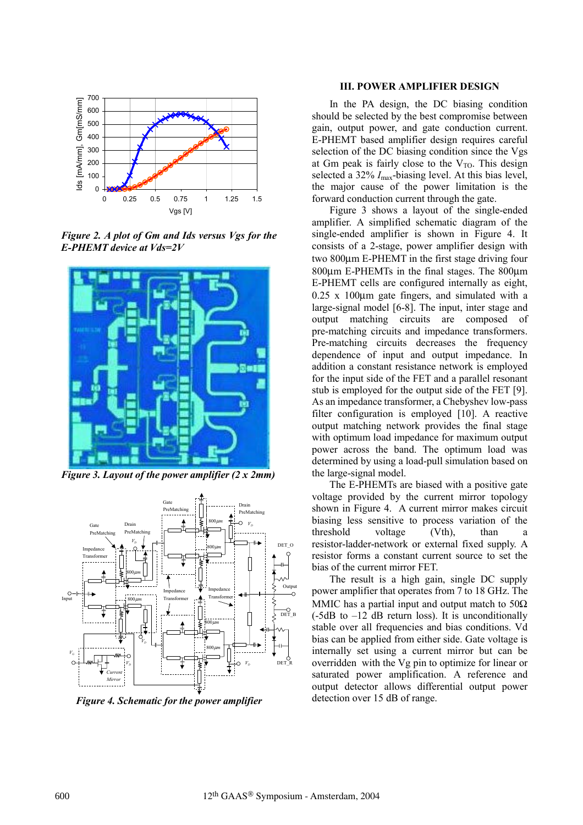

*Figure 2. A plot of Gm and Ids versus Vgs for the E-PHEMT device at Vds=2V* 



*Figure 3. Layout of the power amplifier (2 x 2mm)* 



*Figure 4. Schematic for the power amplifier*

## **III. POWER AMPLIFIER DESIGN**

In the PA design, the DC biasing condition should be selected by the best compromise between gain, output power, and gate conduction current. E-PHEMT based amplifier design requires careful selection of the DC biasing condition since the Vgs at Gm peak is fairly close to the  $V_{\text{TO}}$ . This design selected a 32% *I*max-biasing level. At this bias level, the major cause of the power limitation is the forward conduction current through the gate.

Figure 3 shows a layout of the single-ended amplifier. A simplified schematic diagram of the single-ended amplifier is shown in Figure 4. It consists of a 2-stage, power amplifier design with two 800µm E-PHEMT in the first stage driving four 800µm E-PHEMTs in the final stages. The 800µm E-PHEMT cells are configured internally as eight, 0.25 x 100µm gate fingers, and simulated with a large-signal model [6-8]. The input, inter stage and output matching circuits are composed of pre-matching circuits and impedance transformers. Pre-matching circuits decreases the frequency dependence of input and output impedance. In addition a constant resistance network is employed for the input side of the FET and a parallel resonant stub is employed for the output side of the FET [9]. As an impedance transformer, a Chebyshev low-pass filter configuration is employed [10]. A reactive output matching network provides the final stage with optimum load impedance for maximum output power across the band. The optimum load was determined by using a load-pull simulation based on the large-signal model.

The E-PHEMTs are biased with a positive gate voltage provided by the current mirror topology shown in Figure 4. A current mirror makes circuit biasing less sensitive to process variation of the threshold voltage (Vth), than a resistor-ladder-network or external fixed supply. A resistor forms a constant current source to set the bias of the current mirror FET.

The result is a high gain, single DC supply power amplifier that operates from 7 to 18 GHz. The MMIC has a partial input and output match to  $50\Omega$  $(-5dB$  to  $-12$  dB return loss). It is unconditionally stable over all frequencies and bias conditions. Vd bias can be applied from either side. Gate voltage is internally set using a current mirror but can be overridden with the Vg pin to optimize for linear or saturated power amplification. A reference and output detector allows differential output power detection over 15 dB of range.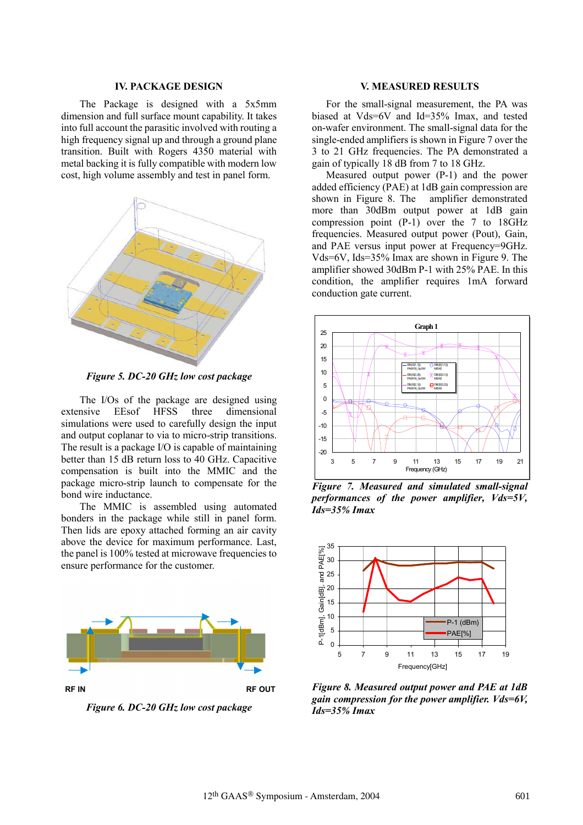### **IV. PACKAGE DESIGN**

The Package is designed with a 5x5mm dimension and full surface mount capability. It takes into full account the parasitic involved with routing a high frequency signal up and through a ground plane transition. Built with Rogers 4350 material with metal backing it is fully compatible with modern low cost, high volume assembly and test in panel form.



*Figure 5. DC-20 GHz low cost package* 

The I/Os of the package are designed using extensive EEsof HFSS three dimensional simulations were used to carefully design the input and output coplanar to via to micro-strip transitions. The result is a package I/O is capable of maintaining better than 15 dB return loss to 40 GHz. Capacitive compensation is built into the MMIC and the package micro-strip launch to compensate for the bond wire inductance.

The MMIC is assembled using automated bonders in the package while still in panel form. Then lids are epoxy attached forming an air cavity above the device for maximum performance. Last, the panel is 100% tested at microwave frequencies to ensure performance for the customer.



*Figure 6. DC-20 GHz low cost package*

## **V. MEASURED RESULTS**

For the small-signal measurement, the PA was biased at Vds=6V and Id=35% Imax, and tested on-wafer environment. The small-signal data for the single-ended amplifiers is shown in Figure 7 over the 3 to 21 GHz frequencies. The PA demonstrated a gain of typically 18 dB from 7 to 18 GHz.

Measured output power (P-1) and the power added efficiency (PAE) at 1dB gain compression are shown in Figure 8. The amplifier demonstrated more than 30dBm output power at 1dB gain compression point (P-1) over the 7 to 18GHz frequencies. Measured output power (Pout), Gain, and PAE versus input power at Frequency=9GHz. Vds=6V, Ids=35% Imax are shown in Figure 9. The amplifier showed 30dBm P-1 with 25% PAE. In this condition, the amplifier requires 1mA forward conduction gate current.



*Figure 7. Measured and simulated small-signal performances of the power amplifier, Vds=5V, Ids=35% Imax* 



*Figure 8. Measured output power and PAE at 1dB gain compression for the power amplifier. Vds=6V, Ids=35% Imax*